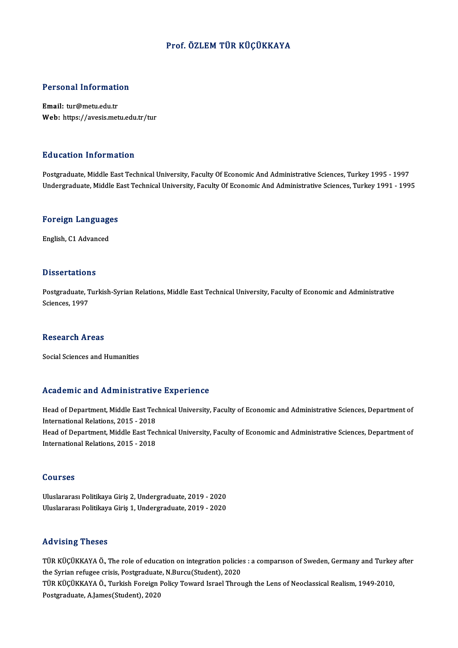## Prof. ÖZLEM TÜR KÜÇÜKKAYA

# Personal Information

Personal Informati<br>Email: tur@metu.edu.tr<br>Web: https://avesis.met Email: tur@metu.edu.tr<br>Web: https://avesis.metu.edu.tr/tur

### Education Information

Postgraduate, Middle East Technical University, Faculty Of Economic And Administrative Sciences, Turkey 1995 - 1997 Undergraduate, Middle East Technical University, Faculty Of Economic And Administrative Sciences, Turkey 1991 - 1995

# <sub>ondergraduate, middle E</sub><br>Foreign Languages <mark>Foreign Language</mark><br>English, C1 Advanced

English, C1 Advanced<br>Dissertations

**Dissertations**<br>Postgraduate, Turkish-Syrian Relations, Middle East Technical University, Faculty of Economic and Administrative<br>Ssiances, 1997 Bisser catron<br>Postgraduate, T<br>Sciences, 1997 Sciences, 1997<br>Research Areas

Social Sciences and Humanities

### Academic and Administrative Experience

Academic and Administrative Experience<br>Head of Department, Middle East Technical University, Faculty of Economic and Administrative Sciences, Department of International Relations, Middle East Technical Relations, 2015 - 2018<br>International Relations, 2015 - 2018<br>Head of Department, Middle East Tec Head of Department, Middle East Technical University, Faculty of Economic and Administrative Sciences, Department of<br>International Relations, 2015 - 2018<br>Head of Department, Middle East Technical University, Faculty of Eco International Relations, 2015 - 2018<br>Head of Department, Middle East Tec<br>International Relations, 2015 - 2018 International Relations, 2015 - 2018<br>Courses

Uluslararası Politikaya Giriş 2, Undergraduate, 2019 - 2020 Uluslararası Politikaya Giriş 1, Undergraduate, 2019 - 2020

### Advising Theses

Advising Theses<br>TÜR KÜÇÜKKAYA Ö., The role of education on integration policies : a comparıson of Sweden, Germany and Turkey after<br>the Syrian refugee erisis. Pestaneduate. N Burgy (Student), 2020. the Vising Theses<br>TÜR KÜÇÜKKAYA Ö., The role of education on integration policie<br>the Syrian refugee crisis, Postgraduate, N.Burcu(Student), 2020<br>TÜR KÜÇÜKKAYA Ö. Turkish Foreign Poligy Toward Israel Throu TÜR KÜÇÜKKAYA Ö., The role of education on integration policies : a comparıson of Sweden, Germany and Turkey<br>the Syrian refugee crisis, Postgraduate, N.Burcu(Student), 2020<br>TÜR KÜÇÜKKAYA Ö., Turkish Foreign Policy Toward I the Syrian refugee crisis, Postgraduate<br>TÜR KÜÇÜKKAYA Ö., Turkish Foreign |<br>Postgraduate, A.James(Student), 2020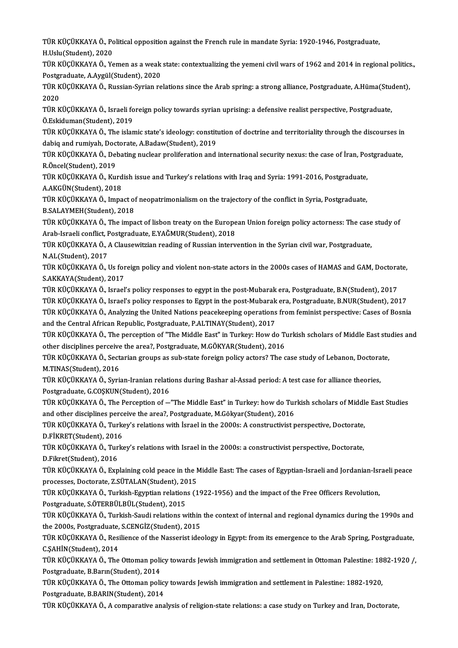TÜR KÜÇÜKKAYA Ö., Political opposition against the French rule in mandate Syria: 1920-1946, Postgraduate,<br>H.Ualv(Student), 2020 TÜR KÜÇÜKKAYA Ö., Po<br>H.Uslu(Student), 2020<br>TÜR KÜÇÜKKAYA Ö. Ye TÜR KÜÇÜKKAYA Ö., Political opposition against the French rule in mandate Syria: 1920-1946, Postgraduate,<br>H.Uslu(Student), 2020<br>TÜR KÜÇÜKKAYA Ö., Yemen as a weak state: contextualizing the yemeni civil wars of 1962 and 201

H.Uslu(Student), 2020<br>TÜR KÜÇÜKKAYA Ö., Yemen as a weak<br>Postgraduate, A.Aygül(Student), 2020<br>TÜR KÜÇÜKKAYA Ö. Russian Syrian na TÜR KÜÇÜKKAYA Ö., Yemen as a weak state: contextualizing the yemeni civil wars of 1962 and 2014 in regional politics<br>Postgraduate, A.Aygül(Student), 2020<br>TÜR KÜÇÜKKAYA Ö., Russian-Syrian relations since the Arab spring: a

Postgraduate, A.Aygül(Student), 2020<br>TÜR KÜÇÜKKAYA Ö., Russian-Syrian relations since the Arab spring: a strong alliance, Postgraduate, A.Hüma(Student),<br>2020 TÜR KÜÇÜKKAYA Ö., Russian-Syrian relations since the Arab spring: a strong alliance, Postgraduate, A.Hüma(Stud<br>2020<br>TÜR KÜÇÜKKAYA Ö., Israeli foreign policy towards syrian uprising: a defensive realist perspective, Postgra

2020<br>TÜR KÜÇÜKKAYA Ö., Israeli fo<br>Ö.Eskiduman(Student), 2019<br>TÜR KÜÇÜKKAYA Ö. The islan TÜR KÜÇÜKKAYA Ö., Israeli foreign policy towards syrian uprising: a defensive realist perspective, Postgraduate,<br>Ö.Eskiduman(Student), 2019<br>TÜR KÜÇÜKKAYA Ö., The islamic state's ideology: constitution of doctrine and terri

Ö.Eskiduman(Student), 2019<br>TÜR KÜÇÜKKAYA Ö., The islamic state's ideology: constitution<br>dabiq and rumiyah, Doctorate, A.Badaw(Student), 2019<br>TÜR KÜÇÜKKAYA Ö. Dobating nuclear preliferation and TÜR KÜÇÜKKAYA Ö., The islamic state's ideology: constitution of doctrine and territoriality through the discourses in<br>dabiq and rumiyah, Doctorate, A.Badaw(Student), 2019<br>TÜR KÜÇÜKKAYA Ö., Debating nuclear proliferation an

dabiq and rumiyah, Doc<br>TÜR KÜÇÜKKAYA Ö., Del<br>R.Öncel(Student), 2019<br>TÜP KÜÇÜKKAYA Ö. K... TÜR KÜÇÜKKAYA Ö., Debating nuclear proliferation and international security nexus: the case of İran, Po.<br>R.Öncel(Student), 2019<br>TÜR KÜÇÜKKAYA Ö., Kurdish issue and Turkey's relations with Iraq and Syria: 1991-2016, Postgra

R.Öncel(Student), 2019<br>TÜR KÜÇÜKKAYA Ö., Kurd<br>A.AKGÜN(Student), 2018<br>TÜP KÜÇÜYKAYA Ö. Impa

TÜR KÜÇÜKKAYA Ö., Kurdish issue and Turkey's relations with Iraq and Syria: 1991-2016, Postgraduate,<br>A.AKGÜN(Student), 2018<br>TÜR KÜÇÜKKAYA Ö., Impact of neopatrimonialism on the trajectory of the conflict in Syria, Postgrad A.AKGÜN(Student), 2018<br>TÜR KÜÇÜKKAYA Ö., Impact of neopatrimonialism on the trajectory of the conflict in Syria, Postgraduate,<br>B.SALAYMEH(Student), 2018 TÜR KÜÇÜKKAYA Ö., Impact of neopatrimonialism on the trajectory of the conflict in Syria, Postgraduate,<br>B.SALAYMEH(Student), 2018<br>TÜR KÜÇÜKKAYA Ö., The impact of lisbon treaty on the European Union foreign policy actorness

B.SALAYMEH(Student), 2018<br>TÜR KÜÇÜKKAYA Ö., The impact of lisbon treaty on the Europe<br>Arab-Israeli conflict, Postgraduate, E.YAĞMUR(Student), 2018<br>TÜR KÜÇÜKKAYA Ö. A Claussuitzian reading of Bussian interv TÜR KÜÇÜKKAYA Ö., The impact of lisbon treaty on the European Union foreign policy actorness: The case<br>Arab-Israeli conflict, Postgraduate, E.YAĞMUR(Student), 2018<br>TÜR KÜÇÜKKAYA Ö., A Clausewitzian reading of Russian inter

Arab-Israeli conflict, Postgraduate, E.YAĞMUR(Student), 2018<br>TÜR KÜÇÜKKAYA Ö., A Clausewitzian reading of Russian intervention in the Syrian civil war, Postgraduate,<br>N.AL(Student), 2017 TÜR KÜÇÜKKAYA Ö., A Clausewitzian reading of Russian intervention in the Syrian civil war, Postgraduate,<br>N.AL(Student), 2017<br>TÜR KÜÇÜKKAYA Ö., Us foreign policy and violent non-state actors in the 2000s cases of HAMAS and

N.AL(Student), 2017<br>TÜR KÜÇÜKKAYA Ö., Us for<br>S.AKKAYA(Student), 2017<br>TÜR KÜÇÜKKAYA Ö. JSTƏS!

S.AKKAYA(Student), 2017<br>TÜR KÜÇÜKKAYA Ö., Israel's policy responses to egypt in the post-Mubarak era, Postgraduate, B.N(Student), 2017 S.AKKAYA(Student), 2017<br>TÜR KÜÇÜKKAYA Ö., Israel's policy responses to egypt in the post-Mubarak era, Postgraduate, B.N(Student), 2017<br>TÜR KÜÇÜKKAYA Ö., Israel's policy responses to Egypt in the post-Mubarak era, Postgradu TÜR KÜÇÜKKAYA Ö., Israel's policy responses to egypt in the post-Mubarak era, Postgraduate, B.N(Student), 2017<br>TÜR KÜÇÜKKAYA Ö., Israel's policy responses to Egypt in the post-Mubarak era, Postgraduate, B.NUR(Student), 201 TÜR KÜÇÜKKAYA Ö., Israel's policy responses to Egypt in the post-Mubarak<br>TÜR KÜÇÜKKAYA Ö., Analyzing the United Nations peacekeeping operations<br>and the Central African Republic, Postgraduate, P.ALTINAY(Student), 2017<br>TÜR K

TÜR KÜÇÜKKAYA Ö., Analyzing the United Nations peacekeeping operations from feminist perspective: Cases of Bosnia<br>and the Central African Republic, Postgraduate, P.ALTINAY(Student), 2017<br>TÜR KÜÇÜKKAYA Ö., The perception of and the Central African Republic, Postgraduate, P.ALTINAY(Student), 2017<br>TÜR KÜÇÜKKAYA Ö., The perception of "The Middle East" in Turkey: How do Turkish scholars of Middle East studies and<br>other disciplines perceive the ar TÜR KÜÇÜKKAYA Ö., The perception of "The Middle East" in Turkey: How do Turkish scholars of Middle East stu<br>other disciplines perceive the area?, Postgraduate, M.GÖKYAR(Student), 2016<br>TÜR KÜÇÜKKAYA Ö., Sectarian groups as

other disciplines perceive<br>TÜR KÜÇÜKKAYA Ö., Sect<br>M.TINAS(Student), 2016<br>TÜR KÜÇÜKKAYA Ö. Syri TÜR KÜÇÜKKAYA Ö., Sectarian groups as sub-state foreign policy actors? The case study of Lebanon, Doctora<br>M.TINAS(Student), 2016<br>TÜR KÜÇÜKKAYA Ö., Syrian-Iranian relations during Bashar al-Assad period: A test case for all

M.TINAS(Student), 2016<br>TÜR KÜÇÜKKAYA Ö., Syrian-Iranian relations during Bashar al-Assad period: A test case for alliance theories,<br>Postgraduate, G.COŞKUN(Student), 2016 TÜR KÜÇÜKKAYA Ö., Syrian-Iranian relations during Bashar al-Assad period: A test case for alliance theories,<br>Postgraduate, G.COŞKUN(Student), 2016<br>TÜR KÜÇÜKKAYA Ö., The Perception of —"The Middle East" in Turkey: how do Tu

Postgraduate, G.COŞKUN(Student), 2016<br>TÜR KÜÇÜKKAYA Ö., The Perception of —"The Middle East" in Turkey: how do Tur<br>and other disciplines perceive the area?, Postgraduate, M.Gökyar(Student), 2016<br>TÜR KÜÇÜKKAYA Ö. Turkey'e r TÜR KÜÇÜKKAYA Ö., The Perception of —"The Middle East" in Turkey: how do Turkish scholars of Middl<br>and other disciplines perceive the area?, Postgraduate, M.Gökyar(Student), 2016<br>TÜR KÜÇÜKKAYA Ö., Turkey's relations with İ

and other disciplines perce<br>TÜR KÜÇÜKKAYA Ö., Turke<br>D.FİKRET(Student), 2016<br>TÜP KÜÇÜKKAYA Ö. Turke TÜR KÜÇÜKKAYA Ö., Turkey's relations with İsrael in the 2000s: A constructivist perspective, Doctorate,<br>D.FİKRET(Student), 2016<br>TÜR KÜÇÜKKAYA Ö., Turkey's relations with Israel in the 2000s: a constructivist perspective, D

D.FİKRET(Student), 2016<br>TÜR KÜÇÜKKAYA Ö., Turkey's relations with Israel in the 2000s: a constructivist perspective, Doctorate,<br>D.Fikret(Student), 2016 TÜR KÜÇÜKKAYA Ö., Turkey's relations with Israel in the 2000s: a constructivist perspective, Doctorate,<br>D.Fikret(Student), 2016<br>TÜR KÜÇÜKKAYA Ö., Explaining cold peace in the Middle East: The cases of Egyptian-Israeli and

D.Fikret(Student), 2016<br>TÜR KÜÇÜKKAYA Ö., Explaining cold peace in the M<br>processes, Doctorate, Z.SÜTALAN(Student), 2015<br>TÜR KÜÇÜKKAYA Ö. Turkish Esymtian relations (1 TÜR KÜÇÜKKAYA Ö., Explaining cold peace in the Middle East: The cases of Egyptian-Israeli and Jordanian-Isr<br>processes, Doctorate, Z.SÜTALAN(Student), 2015<br>TÜR KÜÇÜKKAYA Ö., Turkish-Egyptian relations (1922-1956) and the im

processes, Doctorate, Z.SÜTALAN(Student), 20<br>TÜR KÜÇÜKKAYA Ö., Turkish-Egyptian relation<br>Postgraduate, S.ÖTERBÜLBÜL(Student), 2015<br>TÜR KÜÇÜKKAYA Ö. Turkish Saudi relations ve

TÜR KÜÇÜKKAYA Ö., Turkish-Egyptian relations (1922-1956) and the impact of the Free Officers Revolution,<br>Postgraduate, S.ÖTERBÜLBÜL(Student), 2015<br>TÜR KÜÇÜKKAYA Ö., Turkish-Saudi relations within the context of internal an Postgraduate, S.ÖTERBÜLBÜL(Student), 2015<br>TÜR KÜÇÜKKAYA Ö., Turkish-Saudi relations within<br>the 2000s, Postgraduate, S.CENGİZ(Student), 2015<br>TÜR KÜÇÜKKAYA Ö. Bosilianse of the Nesserist idea the 2000s, Postgraduate, S.CENGİZ(Student), 2015

TÜR KÜÇÜKKAYA Ö., Resilience of the Nasserist ideology in Egypt: from its emergence to the Arab Spring, Postgraduate,<br>C.SAHİN(Student), 2014 TÜR KÜÇÜKKAYA Ö., Resilience of the Nasserist ideology in Egypt: from its emergence to the Arab Spring, Postgraduate,<br>C.ŞAHİN(Student), 2014<br>TÜR KÜÇÜKKAYA Ö., The Ottoman policy towards Jewish immigration and settlement in

C.ŞAHİN(Student), 2014<br>TÜR KÜÇÜKKAYA Ö., The Ottoman poli<br>Postgraduate, B.Barın(Student), 2014<br>TÜR KÜÇÜKKAYA Ö., The Ottoman poli TÜR KÜÇÜKKAYA Ö., The Ottoman policy towards Jewish immigration and settlement in Ottoman Palestine: 18<br>Postgraduate, B.Barın(Student), 2014<br>TÜR KÜÇÜKKAYA Ö., The Ottoman policy towards Jewish immigration and settlement in

Postgraduate, B.Barın(Student), 2014<br>TÜR KÜÇÜKKAYA Ö., The Ottoman policy towards Jewish immigration and settlement in Palestine: 1882-1920,<br>Postgraduate, B.BARIN(Student), 2014

TÜR KÜÇÜKKAYA Ö., A comparative analysis of religion-state relations: a case study on Turkey and Iran, Doctorate,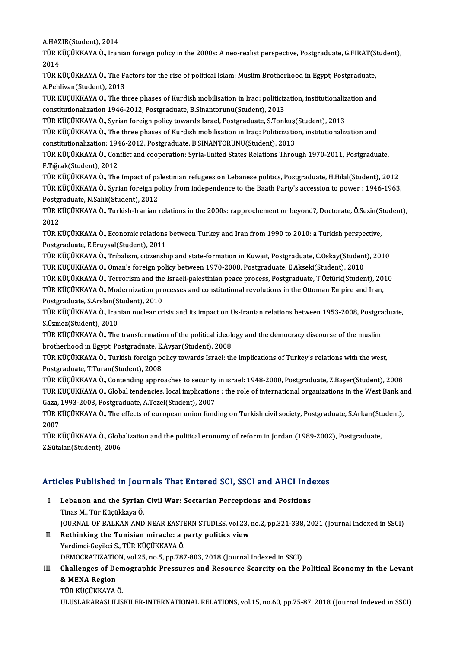A.HAZIR(Student),2014

A.HAZIR(Student), 2014<br>TÜR KÜÇÜKKAYA Ö., Iranian foreign policy in the 2000s: A neo-realist perspective, Postgraduate, G.FIRAT(Student),<br>2014 A.HAZ<br>TÜR K<br>2014<br>TÜR K TÜR KÜÇÜKKAYA Ö., Iranian foreign policy in the 2000s: A neo-realist perspective, Postgraduate, G.FIRAT(S<br>2014<br>TÜR KÜÇÜKKAYA Ö., The Factors for the rise of political Islam: Muslim Brotherhood in Egypt, Postgraduate,<br>A Poh

2014<br>TÜR KÜÇÜKKAYA Ö., The Factors for the rise of political Islam: Muslim Brotherhood in Egypt, Postgraduate,<br>A.Pehlivan(Student), 2013 TÜR KÜÇÜKKAYA Ö., The Factors for the rise of political Islam: Muslim Brotherhood in Egypt, Postgraduate,<br>A.Pehlivan(Student), 2013<br>TÜR KÜÇÜKKAYA Ö., The three phases of Kurdish mobilisation in Iraq: politicization, instit

A.Pehlivan(Student), 2013<br>TÜR KÜÇÜKKAYA Ö., The three phases of Kurdish mobilisation in Iraq: politiciz<br>constitutionalization 1946-2012, Postgraduate, B.Sinantorunu(Student), 2013<br>TÜR KÜÇÜKKAYA Ö. Surian foreign polisy tow TÜR KÜÇÜKKAYA Ö., The three phases of Kurdish mobilisation in Iraq: politicization, institutionaliz<br>constitutionalization 1946-2012, Postgraduate, B.Sinantorunu(Student), 2013<br>TÜR KÜÇÜKKAYA Ö., Syrian foreign policy toward

constitutionalization 1946-2012, Postgraduate, B.Sinantorunu(Student), 2013<br>TÜR KÜÇÜKKAYA Ö., Syrian foreign policy towards Israel, Postgraduate, S.Tonkuş(Student), 2013<br>TÜR KÜCÜKKAYA Ö., The three phases of Kurdish mobili

TÜR KÜÇÜKKAYA Ö., Syrian foreign policy towards Israel, Postgraduate, S.Tonkuş(<br>TÜR KÜÇÜKKAYA Ö., The three phases of Kurdish mobilisation in Iraq: Politicizatio<br>constitutionalization; 1946-2012, Postgraduate, B.SİNANTORUN

TÜR KÜÇÜKKAYA Ö., Conflict and cooperation: Syria-United States Relations Through 1970-2011, Postgraduate,<br>F.Tığrak(Student), 2012 constitutionalization; 194<br>TÜR KÜÇÜKKAYA Ö., Con<br>F.Tığrak(Student), 2012<br>TÜR KÜÇÜKKAYA Ö. The

TÜR KÜÇÜKKAYA Ö., The Impact of palestinian refugees on Lebanese politics, Postgraduate, H.Hilal(Student), 2012 F.Tığrak(Student), 2012<br>TÜR KÜÇÜKKAYA Ö., The Impact of palestinian refugees on Lebanese politics, Postgraduate, H.Hilal(Student), 2012<br>TÜR KÜÇÜKKAYA Ö., Syrian foreign policy from independence to the Baath Party's accessi TÜR KÜÇÜKKAYA Ö., The Impact of pa<br>TÜR KÜÇÜKKAYA Ö., Syrian foreign po<br>Postgraduate, N.Salık(Student), 2012<br>TÜR KÜÇÜKKAYA Ö. Turkish Ironian TÜR KÜÇÜKKAYA Ö., Syrian foreign policy from independence to the Baath Party's accession to power : 1946-1963,<br>Postgraduate, N.Salık(Student), 2012<br>TÜR KÜÇÜKKAYA Ö., Turkish-Iranian relations in the 2000s: rapprochement or

Postgi<br>TÜR K<br>2012<br>Tür K TÜR KÜÇÜKKAYA Ö., Turkish-Iranian relations in the 2000s: rapprochement or beyond?, Doctorate, Ö.Sezin(S<br>2012<br>TÜR KÜÇÜKKAYA Ö., Economic relations between Turkey and Iran from 1990 to 2010: a Turkish perspective,<br>Pestspedu

2012<br>TÜR KÜÇÜKKAYA Ö., Economic relations between Turkey and Iran from 1990 to 2010: a Turkish perspective,<br>Postgraduate, E.Eruysal(Student), 2011 TÜR KÜÇÜKKAYA Ö., Economic relations between Turkey and Iran from 1990 to 2010: a Turkish perspective,<br>Postgraduate, E.Eruysal(Student), 2011<br>TÜR KÜÇÜKKAYA Ö., Tribalism, citizenship and state-formation in Kuwait, Postgrad

Postgraduate, E.Eruysal(Student), 2011<br>TÜR KÜÇÜKKAYA Ö., Tribalism, citizenship and state-formation in Kuwait, Postgraduate, C.Oskay(Student<br>TÜR KÜÇÜKKAYA Ö., Oman's foreign policy between 1970-2008, Postgraduate, E.Akseki TÜR KÜÇÜKKAYA Ö., Tribalism, citizenship and state-formation in Kuwait, Postgraduate, C.Oskay(Student), 2010<br>TÜR KÜÇÜKKAYA Ö., Oman's foreign policy between 1970-2008, Postgraduate, E.Akseki(Student), 2010<br>TÜR KÜÇÜKKAYA Ö.

TÜR KÜÇÜKKAYA Ö., Oman's foreign policy between 1970-2008, Postgraduate, E.Akseki(Student), 2010<br>TÜR KÜÇÜKKAYA Ö., Terrorism and the Israeli-palestinian peace process, Postgraduate, T.Öztürk(Student), 2010<br>TÜR KÜÇÜKKAYA Ö.

TÜR KÜÇÜKKAYA Ö., Terrorism and the<br>TÜR KÜÇÜKKAYA Ö., Modernization pro<br>Postgraduate, S.Arslan(Student), 2010<br>TÜR KÜÇÜKKAYA Ö. Iranian puslear sr TÜR KÜÇÜKKAYA Ö., Modernization processes and constitutional revolutions in the Ottoman Empire and Iran,<br>Postgraduate, S.Arslan(Student), 2010<br>TÜR KÜÇÜKKAYA Ö., Iranian nuclear crisis and its impact on Us-Iranian relations

Postgraduate, S.Arslan(S<br>TÜR KÜÇÜKKAYA Ö., Iran<br>S.Üzmez(Student), 2010<br>TÜR KÜÇÜKKAYA Ö. The TÜR KÜÇÜKKAYA Ö., Iranian nuclear crisis and its impact on Us-Iranian relations between 1953-2008, Postgra<br>S.Üzmez(Student), 2010<br>TÜR KÜÇÜKKAYA Ö., The transformation of the political ideology and the democracy discourse o

S.Üzmez(Student), 2010<br>TÜR KÜÇÜKKAYA Ö., The transformation of the political ideology and the democracy discourse of the muslim<br>brotherhood in Egypt, Postgraduate, E.Avşar(Student), 2008 TÜR KÜÇÜKKAYA Ö., The transformation of the political ideology and the democracy discourse of the muslim<br>brotherhood in Egypt, Postgraduate, E.Avşar(Student), 2008<br>TÜR KÜÇÜKKAYA Ö., Turkish foreign policy towards Israel: t

brotherhood in Egypt, Postgraduate, E.<br>TÜR KÜÇÜKKAYA Ö., Turkish foreign po<br>Postgraduate, T.Turan(Student), 2008<br>TÜR KÜÇÜKKAYA Ö. Contending annue TÜR KÜÇÜKKAYA Ö., Turkish foreign policy towards Israel: the implications of Turkey's relations with the west,<br>Postgraduate, T.Turan(Student), 2008<br>TÜR KÜÇÜKKAYA Ö., Contending approaches to security in ısrael: 1948-2000,

Postgraduate, T.Turan(Student), 2008<br>TÜR KÜÇÜKKAYA Ö., Contending approaches to security in ısrael: 1948-2000, Postgraduate, Z.Başer(Student), 2008<br>TÜR KÜÇÜKKAYA Ö., Global tendencies, local implications : the role of inte TÜR KÜÇÜKKAYA Ö., Contending approaches to security<br>TÜR KÜÇÜKKAYA Ö., Global tendencies, local implication:<br>Gaza, 1993-2003, Postgraduate, A.Tezel(Student), 2007<br>TÜR KÜÇÜKKAYA Ö., The effects of surensen union fund TÜR KÜÇÜKKAYA Ö., Global tendencies, local implications : the role of international organizations in the West Bank a<br>Gaza, 1993-2003, Postgraduate, A.Tezel(Student), 2007<br>TÜR KÜÇÜKKAYA Ö., The effects of european union fun

Gaza,<br>TÜR K<br>2007<br>Tür K TÜR KÜÇÜKKAYA Ö., The effects of european union funding on Turkish civil society, Postgraduate, S.Arkan(Student),<br>2007<br>TÜR KÜÇÜKKAYA Ö., Globalization and the political economy of reform in Jordan (1989-2002), Postgraduate

TÜR KÜÇÜKKAYA Ö., Globalization and the political economy of reform in Jordan (1989-2002), Postgraduate,

# Articles Published in Journals That Entered SCI, SSCI and AHCI Indexes

- rticles Published in Journals That Entered SCI, SSCI and AHCI Ind<br>I. Lebanon and the Syrian Civil War: Sectarian Perceptions and Positions<br>Tines M. Tine Kisikkeya Ö I. Lebanon and the Syrian Civil War: Sectarian Perceptions and Positions<br>Tinas M., Tür Küçükkaya Ö. JOURNAL OF BALKAN AND NEAR EASTERN STUDIES, vol.23, no.2, pp.321-338, 2021 (Journal Indexed in SSCI) Tinas M., Tür Küçükkaya Ö.<br>JOURNAL OF BALKAN AND NEAR EASTERN STUDIES, vol.23, 1<br>II. Rethinking the Tunisian miracle: a party politics view<br>Vordimei Covikei S. Tüp KüçükkAYA Ö.
- JOURNAL OF BALKAN AND NEAR EASTE<br>Rethinking the Tunisian miracle: a <sub>I</sub><br>Yardimci-Geyikci S., TÜR KÜÇÜKKAYA Ö.<br>DEMOCRATIZATION vel 25 ne 5 nn 793 Rethinking the Tunisian miracle: a party politics view<br>Yardimci-Geyikci S., TÜR KÜÇÜKKAYA Ö.<br>DEMOCRATIZATION, vol.25, no.5, pp.787-803, 2018 (Journal Indexed in SSCI)<br>Challenges of Demographic Pressures and Pessures Ssarsi

# Yardimci-Geyikci S., TÜR KÜÇÜKKAYA Ö.<br>DEMOCRATIZATION, vol.25, no.5, pp.787-803, 2018 (Journal Indexed in SSCI)<br>III. Challenges of Demographic Pressures and Resource Scarcity on the Political Economy in the Levant<br>& MENA **DEMOCRATIZATIC<br>Challenges of De<br>& MENA Region<br>T<sup>in</sup> KüçüvyAMA** TÜR KÜÇÜKKAYA Ö.

ULUSLARARASI ILISKILER-INTERNATIONAL RELATIONS, vol.15, no.60, pp.75-87, 2018 (Journal Indexed in SSCI)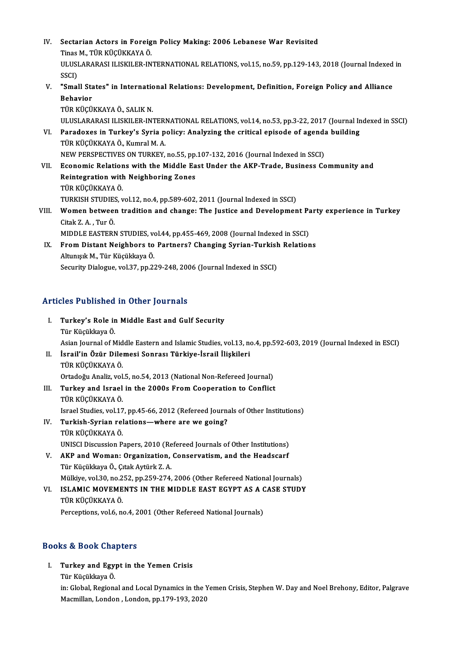- IV. Sectarian Actors in Foreign Policy Making: 2006 Lebanese War Revisited<br>Tines M. Tüp vüçüvyaya ö Sectarian Actors in Foreig<br>Tinas M., TÜR KÜÇÜKKAYA Ö.<br>ULUSLARARASLU ISKU ER IN ULUSLARARASI ILISKILER-INTERNATIONAL RELATIONS, vol.15, no.59, pp.129-143, 2018 (Journal Indexed in<br>SSCI) Tinas M., TÜR KÜÇÜKKAYA Ö. ULUSLARARASI ILISKILER-INTERNATIONAL RELATIONS, vol.15, no.59, pp.129-143, 2018 (Journal Indexed<br>SSCI)<br>V. "Small States" in International Relations: Development, Definition, Foreign Policy and Alliance<br>Rebayier SSCI)<br>"Small Sta<br>Behavior<br>Tüp vücü "Small States" in Internatic<br>Behavior<br>TÜR KÜÇÜKKAYA Ö., SALIK N.<br>ULUSLARARASLU ISKU ER IN. Behavior<br>TÜR KÜÇÜKKAYA Ö., SALIK N.<br>ULUSLARARASI ILISKILER-INTERNATIONAL RELATIONS, vol.14, no.53, pp.3-22, 2017 (Journal Indexed in SSCI) TÜR KÜÇÜKKAYA Ö., SALIK N.<br>ULUSLARARASI ILISKILER-INTERNATIONAL RELATIONS, vol.14, no.53, pp.3-22, 2017 (Journal In<br>VI. Paradoxes in Turkey's Syria policy: Analyzing the critical episode of agenda building<br>TÜP KÜÇÜKKAYA Ö. ULUSLARARASI ILISKILER-INTERI<br><mark>Paradoxes in Turkey's Syria p</mark><br>TÜR KÜÇÜKKAYA Ö., Kumral M. A.<br>NEW PERSPECTIVES ON TURKEY Paradoxes in Turkey's Syria policy: Analyzing the critical episode of agend:<br>TÜR KÜÇÜKKAYA Ö., Kumral M. A.<br>NEW PERSPECTIVES ON TURKEY, no.55, pp.107-132, 2016 (Journal Indexed in SSCI)<br>Feonomic Polations with the Middle F TÜR KÜÇÜKKAYA Ö., Kumral M. A.<br>NEW PERSPECTIVES ON TURKEY, no.55, pp.107-132, 2016 (Journal Indexed in SSCI)<br>VII. Economic Relations with the Middle East Under the AKP-Trade, Business Community and
- NEW PERSPECTIVES ON TURKEY, no.55, pp.107-132, 2016 (Journal Indexed in SSCI)<br>Economic Relations with the Middle East Under the AKP-Trade, Business Consintegration with Neighboring Zones<br>TÜR KÜCÜKKAYA Ö. Reintegration with Neighboring Zones Reintegration with Neighboring Zones<br>TÜR KÜÇÜKKAYA Ö.<br>TURKISH STUDIES, vol.12, no.4, pp.589-602, 2011 (Journal Indexed in SSCI)<br>Wemen between tradition and shange: The Justice and Developmen TÜR KÜÇÜKKAYA Ö.<br>TURKISH STUDIES, vol.12, no.4, pp.589-602, 2011 (Journal Indexed in SSCI)<br>VIII. Women between tradition and change: The Justice and Development Party experience in Turkey<br>Cital: Z.A. Tur.Ö.
- TURKISH STUDIES<br>Women betwee<br>Citak Z. A. , Tur Ö.<br>MIDDI E EASTERN Women between tradition and change: The Justice and Development Pa<br>Citak Z. A. , Tur Ö.<br>MIDDLE EASTERN STUDIES, vol.44, pp.455-469, 2008 (Journal Indexed in SSCI)<br>Enem Distant Neighbors to Pertnere? Changing Syrian Turkish Citak Z. A. , Tur Ö.<br>MIDDLE EASTERN STUDIES, vol.44, pp.455-469, 2008 (Journal Indexed in SSCI)<br>IX. From Distant Neighbors to Partners? Changing Syrian-Turkish Relations
- MIDDLE EASTERN STUDIES, ve<br>From Distant Neighbors to<br>Altunışık M., Tür Küçükkaya Ö.<br>Segurity Dialogue vel 37. pp.33 <mark>From Distant Neighbors to Partners? Changing Syrian-Turkish</mark><br>Altunışık M., Tür Küçükkaya Ö.<br>Security Dialogue, vol.37, pp.229-248, 2006 (Journal Indexed in SSCI) Security Dialogue, vol.37, pp.229-248, 2006 (Journal Indexed in SSCI)<br>Articles Published in Other Journals

- rticles Published in Other Journals<br>I. Turkey's Role in Middle East and Gulf Security<br>Tür Küsükkaya Ö Türkey's Role in<br>Türkey's Role in<br>Tür Küçükkaya Ö.<br>Asian Jaurnal of M Tür Küçükkaya Ö.<br>Asian Journal of Middle Eastern and Islamic Studies, vol.13, no.4, pp.592-603, 2019 (Journal Indexed in ESCI) Tür Küçükkaya Ö.<br>Asian Journal of Middle Eastern and Islamic Studies, vol.13, no.<br>II. İsrail'in Özür Dilemesi Sonrası Türkiye-İsrail İlişkileri<br>Tüp vüçüvyaya Ö.
- Asian Journal of Mid<br>İsrail'in Özür Dile:<br>TÜR KÜÇÜKKAYA Ö.<br>Ortadoğu Analiz vol İsrail'in Özür Dilemesi Sonrası Türkiye-İsrail İlişkileri<br>TÜR KÜÇÜKKAYA Ö.<br>Ortadoğu Analiz, vol.5, no.54, 2013 (National Non-Refereed Journal)<br>Turkey and Jaraal in the 2000s Enam Geonaration te Gonflist
- TÜR KÜÇÜKKAYA Ö.<br>Ortadoğu Analiz, vol.5, no.54, 2013 (National Non-Refereed Journal)<br>III. Turkey and Israel in the 2000s From Cooperation to Conflict<br>TÜR KÜÇÜKKAYA Ö. Ortadoğu Analiz, vol<mark>.</mark><br>Turkey and Israel<br>TÜR KÜÇÜKKAYA Ö.<br>Israel Studies vol.17 Turkey and Israel in the 2000s From Cooperation to Conflict<br>TÜR KÜÇÜKKAYA Ö.<br>Israel Studies, vol.17, pp.45-66, 2012 (Refereed Journals of Other Institutions)<br>Turkich Surian polations, whore are we going?
- IV. Turkish-Syrian relations—where are we going? Israel Studies, vol.17<br><mark>Turkish-Syrian re</mark>l<br>TÜR KÜÇÜKKAYA Ö.<br>UNISCI Discussion B UNISCI Discussion Papers, 2010 (Refereed Journals of Other Institutions)
- V. AKP and Woman: Organization, Conservatism, and the Headscarf Tür Küçükkaya Ö., Çıtak Aytürk Z. A. AKP and Woman: Organization, Conservatism, and the Headscarf<br>Tür Küçükkaya Ö., Çıtak Aytürk Z. A.<br>Mülkiye, vol.30, no.252, pp.259-274, 2006 (Other Refereed National Journals)<br>ISLAMIC MOVEMENTS IN THE MIDDLE EAST ECVPT AS A Tür Küçükkaya Ö., Çıtak Aytürk Z. A.<br>Mülkiye, vol.30, no.252, pp.259-274, 2006 (Other Refereed National Journals)<br>VI. ISLAMIC MOVEMENTS IN THE MIDDLE EAST EGYPT AS A CASE STUDY<br>TÜP KÜÇÜKKAYA Ö
- Mülkiye, vol.30, no.2<br>ISLAMIC MOVEME<br>TÜR KÜÇÜKKAYA Ö.<br>Persentiens, vol.6, no ISLAMIC MOVEMENTS IN THE MIDDLE EAST EGYPT AS A C<br>TÜR KÜÇÜKKAYA Ö.<br>Perceptions, vol.6, no.4, 2001 (Other Refereed National Journals) Perceptions, vol.6, no.4, 2001 (Other Refereed National Journals)<br>Books & Book Chapters

ooks & Book Chapters<br>I. Turkey and Egypt in the Yemen Crisis<br>Tür Küsüldrava Ö tə & Book ona<br>Turkey and Egy<br>Tür Küçükkaya Ö.<br>in:Clobel Begians Turkey and Egypt in the Yemen Crisis<br>Tür Küçükkaya Ö.<br>in: Global, Regional and Local Dynamics in the Yemen Crisis, Stephen W. Day and Noel Brehony, Editor, Palgrave<br>Magmillan, Lordon, Lordon, np.179,193,2020 Tür Küçükkaya Ö.<br>in: Global, Regional and Local Dynamics in the ነ<br>Macmillan, London , London, pp.179-193, 2020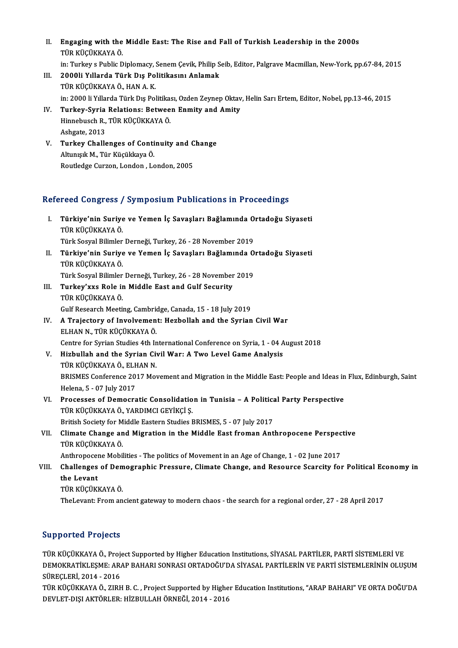- II. Engaging with the Middle East: The Rise and Fall of Turkish Leadership in the 2000s TÜR KÜÇÜKKAYA Ö. Engaging with the Middle East: The Rise and Fall of Turkish Leadership in the 2000s<br>TÜR KÜÇÜKKAYA Ö.<br>in: Turkey s Public Diplomacy, Senem Çevik, Philip Seib, Editor, Palgrave Macmillan, New-York, pp.67-84, 2015<br>2000li Yıll
- III. 2000li Yıllarda Türk Dış Politikasını Anlamak<br>TÜR KÜÇÜKKAYA Ö., HAN A. K. in: Turkey s Public Diplomacy, !<br>2000li Yıllarda Türk Dış Po<br>TÜR KÜÇÜKKAYA Ö., HAN A. K.<br>in: 2000 li Yıllarda Türk Dış Pol in: 2000 li Yıllarda Türk Dış Politikası, Ozden Zeynep Oktav, Helin Sarı Ertem, Editor, Nobel, pp.13-46, 2015 TÜR KÜÇÜKKAYA Ö., HAN A. K.<br>in: 2000 li Yıllarda Türk Dış Politikası, Ozden Zeynep Oktav<br>IV. Turkey-Syria Relations: Between Enmity and Amity<br>Hinnebuseb B. TÜR KÜÇÜKKAYA Ö
- in: 2000 li Yıllarda Türk Dış Politika:<br><mark>Turkey-Syria Relations: Betwee</mark><br>Hinnebusch R., TÜR KÜÇÜKKAYA Ö.<br>Ashsata 2012 Tur<mark>key-Syria</mark><br>Hinnebusch R.,<br>Ashgate, 2013<br>Turkey Challe Hinnebusch R., TÜR KÜÇÜKKAYA Ö.<br>Ashgate, 2013<br>V. Turkey Challenges of Continuity and Change
- Ashgate, 2013<br><mark>Turkey Challenges of Conti</mark><br>Altunışık M., Tür Küçükkaya Ö.<br>Poutledge Gursen Lenden, Le <mark>Turkey Challenges of Continuity and C</mark><br>Altunışık M., Tür Küçükkaya Ö.<br>Routledge Curzon, London , London, 2005

# Routledge Curzon, London, London, 2005<br>Refereed Congress / Symposium Publications in Proceedings

efereed Congress / Symposium Publications in Proceedings<br>I. Türkiye'nin Suriye ve Yemen İç Savaşları Bağlamında Ortadoğu Siyaseti<br>Türkiye'nin Küçükkaya ö Türkiye'nin Suriye<br>Türkiye'nin Suriye<br>T<sup>ürk Sosual Bilimler</sup> Türkiye'nin Suriye ve Yemen İç Savaşları Bağlamında O<br>TÜR KÜÇÜKKAYA Ö.<br>Türk Sosyal Bilimler Derneği, Turkey, 26 - 28 November 2019<br>Türkiye'nin Suriye ve Yemen İş Savaşları Bağlamında Q

- TÜR KÜÇÜKKAYA Ö.<br>Türk Sosyal Bilimler Derneği, Turkey, 26 28 November 2019<br>II. Türkiye'nin Suriye ve Yemen İç Savaşları Bağlamında Ortadoğu Siyaseti<br> Tüp KüçükkAYA Ö Türk Sosyal Bilimler<br><mark>Türkiye'nin Suriye</mark><br>TÜR KÜÇÜKKAYA Ö.<br>Türk Sosyal Bilimler Türkiye'nin Suriye ve Yemen İç Savaşları Bağlamında O<br>TÜR KÜÇÜKKAYA Ö.<br>Türk Sosyal Bilimler Derneği, Turkey, 26 - 28 November 2019<br>Turkey'yye Bola in Middle Fast and Culf Sesurity
- TÜR KÜÇÜKKAYA Ö.<br>Türk Sosyal Bilimler Derneği, Turkey, 26 28 November<br>III. Turkey'xxs Role in Middle East and Gulf Security<br>TÜR KÜÇÜKKAYA Ö Türk Sosyal Bilimler<br><mark>Turkey'xxs Role ir</mark><br>TÜR KÜÇÜKKAYA Ö.<br>Culf Bessersh Mesti TÜR KÜÇÜKKAYA Ö.<br>Gulf Research Meeting, Cambridge, Canada, 15 - 18 July 2019 TÜR KÜÇÜKKAYA Ö.<br>Gulf Research Meeting, Cambridge, Canada, 15 - 18 July 2019<br>IV. A Trajectory of Involvement: Hezbollah and the Syrian Civil War
- Gulf Research Meeting, Cambrid<br>A Trajectory of Involvemen<br>ELHAN N., TÜR KÜÇÜKKAYA Ö.<br>Centre for Syrian Studies 4th In A Trajectory of Involvement: Hezbollah and the Syrian Civil War<br>ELHAN N., TÜR KÜÇÜKKAYA Ö.<br>Centre for Syrian Studies 4th International Conference on Syria, 1 - 04 August 2018<br>Highullah and the Syrian Civil Wary A Two Lavel ELHAN N., TÜR KÜÇÜKKAYA Ö.<br>Centre for Syrian Studies 4th International Conference on Syria, 1 - 04 August 2018<br>V. Hizbullah and the Syrian Civil War: A Two Level Game Analysis
- Centre for Syrian Studies 4th In<br>Hizbullah and the Syrian Cive<br>TÜR KÜÇÜKKAYA Ö., ELHAN N.<br>PRISMES Conforones 2017 Mor BRISMES Conference 2017 Movement and Migration in the Middle East: People and Ideas in Flux, Edinburgh, Saint<br>Helena, 5 - 07 July 2017 TÜR KÜÇÜKKAYA Ö., ELF<br>BRISMES Conference 20<br>Helena, 5 - 07 July 2017<br>Processos of Democra BRISMES Conference 2017 Movement and Migration in the Middle East: People and Ideas in<br>Helena, 5 - 07 July 2017<br>VI. Processes of Democratic Consolidation in Tunisia – A Political Party Perspective<br>Tip Vicily AVA Ö VARDIMCL
- Helena, 5 07 July 2017<br>Processes of Democratic Consolidatio<br>TÜR KÜÇÜKKAYA Ö., YARDIMCI GEYİKÇİ Ş.<br>Pritish Sesisty for Middle Festern Studies I Processes of Democratic Consolidation in Tunisia – A Politica<br>TÜR KÜÇÜKKAYA Ö., YARDIMCI GEYİKÇİ Ş.<br>British Society for Middle Eastern Studies BRISMES, 5 - 07 July 2017<br>Climate Change and Mignation in the Middle East frome TÜR KÜÇÜKKAYA Ö., YARDIMCI GEYİKÇİ Ş.<br>British Society for Middle Eastern Studies BRISMES, 5 - 07 July 2017<br>VII. Climate Change and Migration in the Middle East froman Anthropocene Perspective<br>TÜR KÜÇÜKKAYA Ö.
- British Society for M<br>Climate Change an<br>TÜR KÜÇÜKKAYA Ö.<br>Anthronocone Mobil Climate Change and Migration in the Middle East froman Anthropocene Perspec<br>TÜR KÜÇÜKKAYA Ö.<br>Anthropocene Mobilities - The politics of Movement in an Age of Change, 1 - 02 June 2017<br>Challanges of Demographic Pressure, Clim

# TÜR KÜÇÜKKAYA Ö.<br>Anthropocene Mobilities - The politics of Movement in an Age of Change, 1 - 02 June 2017<br>VIII. Challenges of Demographic Pressure, Climate Change, and Resource Scarcity for Political Economy in<br>the Leve Anthropocer<br>Challenges<br>the Levant<br>Tip *vi*iciivi Challenges of Dem<br>the Levant<br>TÜR KÜÇÜKKAYA Ö.<br>Thel evant Frem an the Levant<br>TÜR KÜÇÜKKAYA Ö.<br>TheLevant: From ancient gateway to modern chaos - the search for a regional order, 27 - 28 April 2017

## Supported Projects

Supported Projects<br>TÜR KÜÇÜKKAYA Ö., Project Supported by Higher Education Institutions, SİYASAL PARTİLER, PARTİ SİSTEMLERİ VE<br>REMOKRATİKLESME: ARAR RAHARI SONRASI ORTARQĞIYDA SİYASAL RARTİLERİN VE RARTİ SİSTEMI ERİNİN OLU DAPPOTTON TTOJOCES<br>TÜR KÜÇÜKKAYA Ö., Project Supported by Higher Education Institutions, SİYASAL PARTİLER, PARTİ SİSTEMLERİ VE<br>DEMOKRATİKLEŞME: ARAP BAHARI SONRASI ORTADOĞU'DA SİYASAL PARTİLERİN VE PARTİ SİSTEMLERİNİN OLUŞ TÜR KÜÇÜKKAYA Ö., Proj<br>DEMOKRATİKLEŞME: AR<br>SÜREÇLERİ, 2014 - 2016<br>TÜR KÜÇÜKKAYA Ö. ZIRE DEMOKRATİKLEŞME: ARAP BAHARI SONRASI ORTADOĞU'DA SİYASAL PARTİLERİN VE PARTİ SİSTEMLERİNİN OLUŞUM<br>SÜREÇLERİ, 2014 - 2016<br>TÜR KÜÇÜKKAYA Ö., ZIRH B. C. , Project Supported by Higher Education Institutions, "ARAP BAHARI" VE O

SÜREÇLERİ, 2014 - 2016<br>TÜR KÜÇÜKKAYA Ö., ZIRH B. C. , Project Supported by Higher Education Institutions, "ARAP BAHARI" VE ORTA DOĞU'DA<br>DEVLET-DIŞI AKTÖRLER: HİZBULLAH ÖRNEĞİ, 2014 - 2016